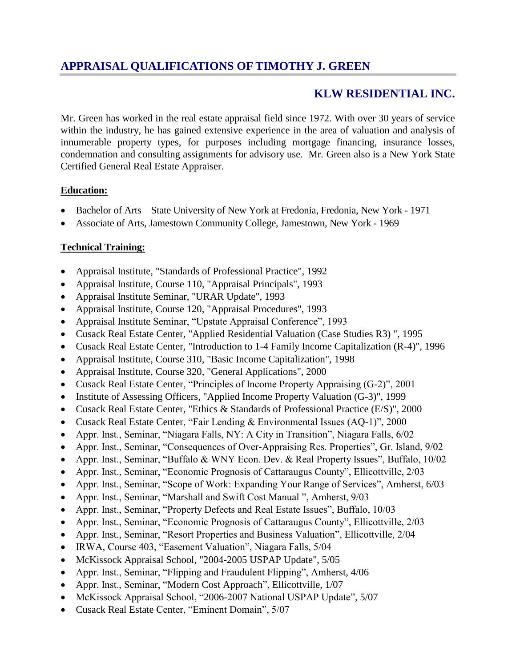# **APPRAISAL QUALIFICATIONS OF TIMOTHY J. GREEN**

# **KLW RESIDENTIAL INC.**

Mr. Green has worked in the real estate appraisal field since 1972. With over 30 years of service within the industry, he has gained extensive experience in the area of valuation and analysis of innumerable property types, for purposes including mortgage financing, insurance losses, condemnation and consulting assignments for advisory use. Mr. Green also is a New York State Certified General Real Estate Appraiser.

#### **Education:**

- Bachelor of Arts State University of New York at Fredonia, Fredonia, New York 1971
- Associate of Arts, Jamestown Community College, Jamestown, New York 1969

### **Technical Training:**

- Appraisal Institute, "Standards of Professional Practice", 1992
- Appraisal Institute, Course 110, "Appraisal Principals", 1993
- Appraisal Institute Seminar, "URAR Update", 1993
- Appraisal Institute, Course 120, "Appraisal Procedures", 1993
- Appraisal Institute Seminar, "Upstate Appraisal Conference", 1993
- Cusack Real Estate Center, "Applied Residential Valuation (Case Studies R3) ", 1995
- Cusack Real Estate Center, "Introduction to 1-4 Family Income Capitalization (R-4)", 1996
- Appraisal Institute, Course 310, "Basic Income Capitalization", 1998
- Appraisal Institute, Course 320, "General Applications", 2000
- Cusack Real Estate Center, "Principles of Income Property Appraising (G-2)", 2001
- Institute of Assessing Officers, "Applied Income Property Valuation (G-3)", 1999
- Cusack Real Estate Center, "Ethics & Standards of Professional Practice (E/S)", 2000
- Cusack Real Estate Center, "Fair Lending & Environmental Issues (AQ-1)", 2000
- Appr. Inst., Seminar, "Niagara Falls, NY: A City in Transition", Niagara Falls, 6/02
- Appr. Inst., Seminar, "Consequences of Over-Appraising Res. Properties", Gr. Island, 9/02
- Appr. Inst., Seminar, "Buffalo & WNY Econ. Dev. & Real Property Issues", Buffalo, 10/02
- Appr. Inst., Seminar, "Economic Prognosis of Cattaraugus County", Ellicottville, 2/03
- Appr. Inst., Seminar, "Scope of Work: Expanding Your Range of Services", Amherst, 6/03
- Appr. Inst., Seminar, "Marshall and Swift Cost Manual ", Amherst, 9/03
- Appr. Inst., Seminar, "Property Defects and Real Estate Issues", Buffalo, 10/03
- Appr. Inst., Seminar, "Economic Prognosis of Cattaraugus County", Ellicottville, 2/03
- Appr. Inst., Seminar, "Resort Properties and Business Valuation", Ellicottville, 2/04
- IRWA, Course 403, "Easement Valuation", Niagara Falls, 5/04
- McKissock Appraisal School, "2004-2005 USPAP Update", 5/05
- Appr. Inst., Seminar, "Flipping and Fraudulent Flipping", Amherst, 4/06
- Appr. Inst., Seminar, "Modern Cost Approach", Ellicottville, 1/07
- McKissock Appraisal School, "2006-2007 National USPAP Update", 5/07
- Cusack Real Estate Center, "Eminent Domain", 5/07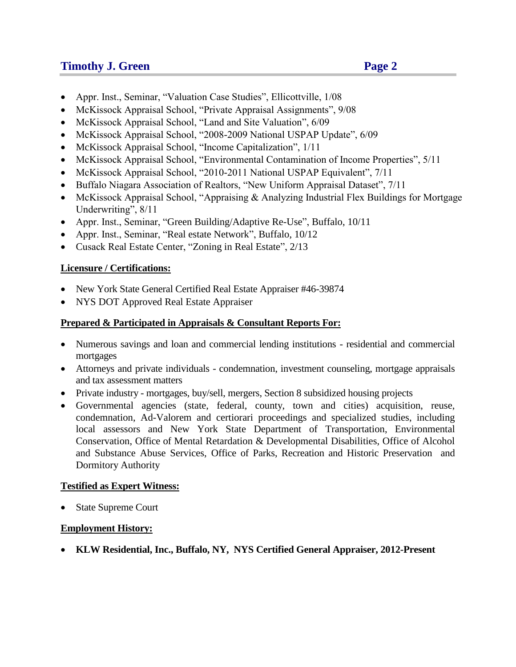## **Timothy J. Green Page 2**

- Appr. Inst., Seminar, "Valuation Case Studies", Ellicottville, 1/08
- McKissock Appraisal School, "Private Appraisal Assignments", 9/08
- McKissock Appraisal School, "Land and Site Valuation", 6/09
- McKissock Appraisal School, "2008-2009 National USPAP Update", 6/09
- McKissock Appraisal School, "Income Capitalization", 1/11
- McKissock Appraisal School, "Environmental Contamination of Income Properties", 5/11
- McKissock Appraisal School, "2010-2011 National USPAP Equivalent", 7/11
- Buffalo Niagara Association of Realtors, "New Uniform Appraisal Dataset", 7/11
- McKissock Appraisal School, "Appraising & Analyzing Industrial Flex Buildings for Mortgage Underwriting", 8/11
- Appr. Inst., Seminar, "Green Building/Adaptive Re-Use", Buffalo, 10/11
- Appr. Inst., Seminar, "Real estate Network", Buffalo, 10/12
- Cusack Real Estate Center, "Zoning in Real Estate", 2/13

### **Licensure / Certifications:**

- New York State General Certified Real Estate Appraiser #46-39874
- NYS DOT Approved Real Estate Appraiser

### **Prepared & Participated in Appraisals & Consultant Reports For:**

- Numerous savings and loan and commercial lending institutions residential and commercial mortgages
- Attorneys and private individuals condemnation, investment counseling, mortgage appraisals and tax assessment matters
- Private industry mortgages, buy/sell, mergers, Section 8 subsidized housing projects
- Governmental agencies (state, federal, county, town and cities) acquisition, reuse, condemnation, Ad-Valorem and certiorari proceedings and specialized studies, including local assessors and New York State Department of Transportation, Environmental Conservation, Office of Mental Retardation & Developmental Disabilities, Office of Alcohol and Substance Abuse Services, Office of Parks, Recreation and Historic Preservation and Dormitory Authority

### **Testified as Expert Witness:**

State Supreme Court

### **Employment History:**

**KLW Residential, Inc., Buffalo, NY, NYS Certified General Appraiser, 2012-Present**